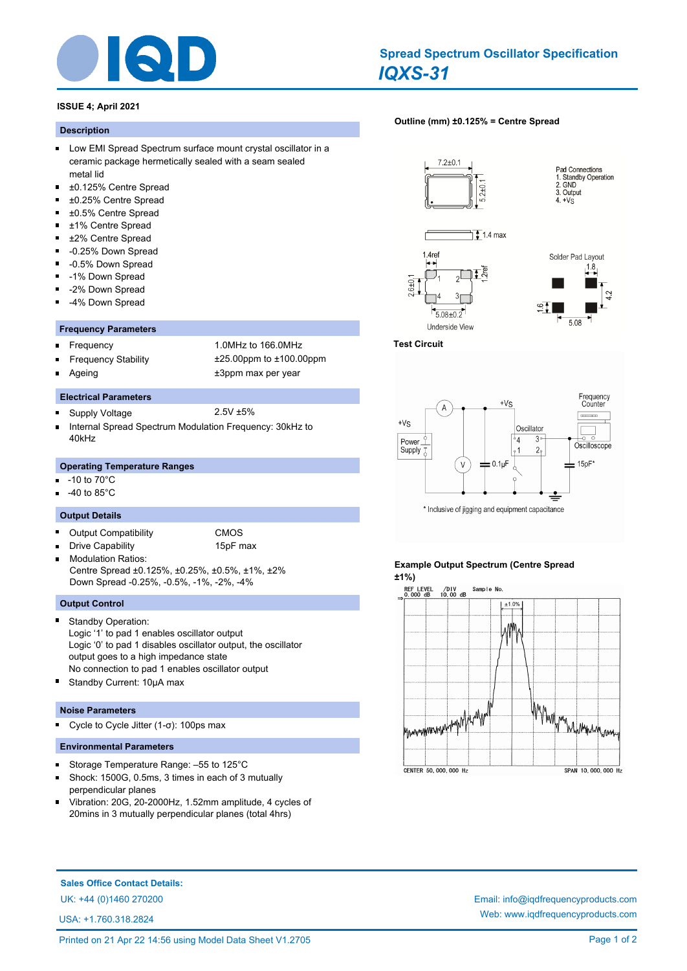

# *IQXS-31* **Spread Spectrum Oscillator Specification**

# **ISSUE 4; April 2021**

#### **Description**

- **Low EMI Spread Spectrum surface mount crystal oscillator in a** ceramic package hermetically sealed with a seam sealed metal lid
- $\blacksquare$ ±0.125% Centre Spread
- $\blacksquare$ ±0.25% Centre Spread
- ±0.5% Centre Spread
- $\blacksquare$ ±1% Centre Spread
- ±2% Centre Spread  $\blacksquare$
- $\blacksquare$ -0.25% Down Spread
- $\blacksquare$ -0.5% Down Spread
- $\blacksquare$ -1% Down Spread
- -2% Down Spread
- $\blacksquare$ -4% Down Spread

#### **Frequency Parameters**

- $\blacksquare$
- Frequency 1.0MHz to 166.0MHz Frequency Stability ±25.00ppm to ±100.00ppm
- 

**Electrical Parameters**

- 
- 

 $\blacksquare$ 

- Ageing  $\qquad \qquad \qquad \text{+3ppm}$  max per year
- Supply Voltage 2.5V ±5%
- Internal Spread Spectrum Modulation Frequency: 30kHz to 40kHz

#### **Operating Temperature Ranges**

- -10 to 70°C
- -40 to 85°C

### **Output Details**

- $\blacksquare$ Output Compatibility CMOS
- Drive Capability 15pF max  $\blacksquare$ 
	-
- Modulation Ratios: Centre Spread ±0.125%, ±0.25%, ±0.5%, ±1%, ±2% Down Spread -0.25%, -0.5%, -1%, -2%, -4%

# **Output Control**

- Standby Operation: Logic '1' to pad 1 enables oscillator output Logic '0' to pad 1 disables oscillator output, the oscillator output goes to a high impedance state No connection to pad 1 enables oscillator output
- Standby Current: 10µA max

## **Noise Parameters**

Cycle to Cycle Jitter (1-σ): 100ps max  $\blacksquare$ 

### **Environmental Parameters**

- Storage Temperature Range: –55 to 125°C  $\blacksquare$
- $\blacksquare$ Shock: 1500G, 0.5ms, 3 times in each of 3 mutually perpendicular planes
- Vibration: 20G, 20-2000Hz, 1.52mm amplitude, 4 cycles of  $\blacksquare$ 20mins in 3 mutually perpendicular planes (total 4hrs)

## **[Outline \(mm\) ±0.125% = Centre Spread](http://www.iqdfrequencyproducts.com/products/search/?type=tcxo-tcvcxo&model=All&product-features=All&package=All&frequency=All&frequency-uom=MHz&frequency-stability=All&temperature-range=All&output=All&voltage=All)**











#### **Test Circuit**



# **Example Output Spectrum (Centre Spread ±1%)**



**Sales Office Contact Details:**

USA: +1.760.318.2824

## Printed on 21 Apr 22 14:56 using Model Data Sheet V1.2705 Page 1 of 2

UK: +44 (0)1460 270200 Email: info@iqdfrequencyproducts.com Web: www.iqdfrequencyproducts.com